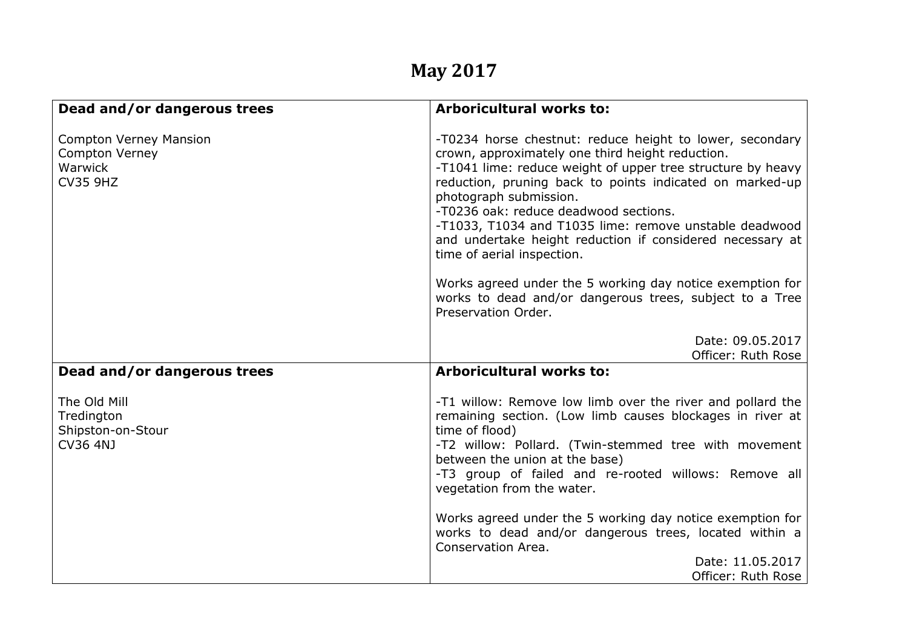## **May 2017**

| Dead and/or dangerous trees                                                   | <b>Arboricultural works to:</b>                                                                                                                                                                                                                                                                                                                                                                                                                                 |
|-------------------------------------------------------------------------------|-----------------------------------------------------------------------------------------------------------------------------------------------------------------------------------------------------------------------------------------------------------------------------------------------------------------------------------------------------------------------------------------------------------------------------------------------------------------|
| <b>Compton Verney Mansion</b><br>Compton Verney<br>Warwick<br><b>CV35 9HZ</b> | -T0234 horse chestnut: reduce height to lower, secondary<br>crown, approximately one third height reduction.<br>-T1041 lime: reduce weight of upper tree structure by heavy<br>reduction, pruning back to points indicated on marked-up<br>photograph submission.<br>-T0236 oak: reduce deadwood sections.<br>-T1033, T1034 and T1035 lime: remove unstable deadwood<br>and undertake height reduction if considered necessary at<br>time of aerial inspection. |
|                                                                               | Works agreed under the 5 working day notice exemption for<br>works to dead and/or dangerous trees, subject to a Tree<br>Preservation Order.                                                                                                                                                                                                                                                                                                                     |
|                                                                               | Date: 09.05.2017<br>Officer: Ruth Rose                                                                                                                                                                                                                                                                                                                                                                                                                          |
| Dead and/or dangerous trees                                                   | <b>Arboricultural works to:</b>                                                                                                                                                                                                                                                                                                                                                                                                                                 |
| The Old Mill<br>Tredington<br>Shipston-on-Stour<br><b>CV36 4NJ</b>            | -T1 willow: Remove low limb over the river and pollard the<br>remaining section. (Low limb causes blockages in river at<br>time of flood)<br>-T2 willow: Pollard. (Twin-stemmed tree with movement<br>between the union at the base)<br>-T3 group of failed and re-rooted willows: Remove all<br>vegetation from the water.                                                                                                                                     |
|                                                                               | Works agreed under the 5 working day notice exemption for<br>works to dead and/or dangerous trees, located within a<br>Conservation Area.<br>Date: 11.05.2017<br>Officer: Ruth Rose                                                                                                                                                                                                                                                                             |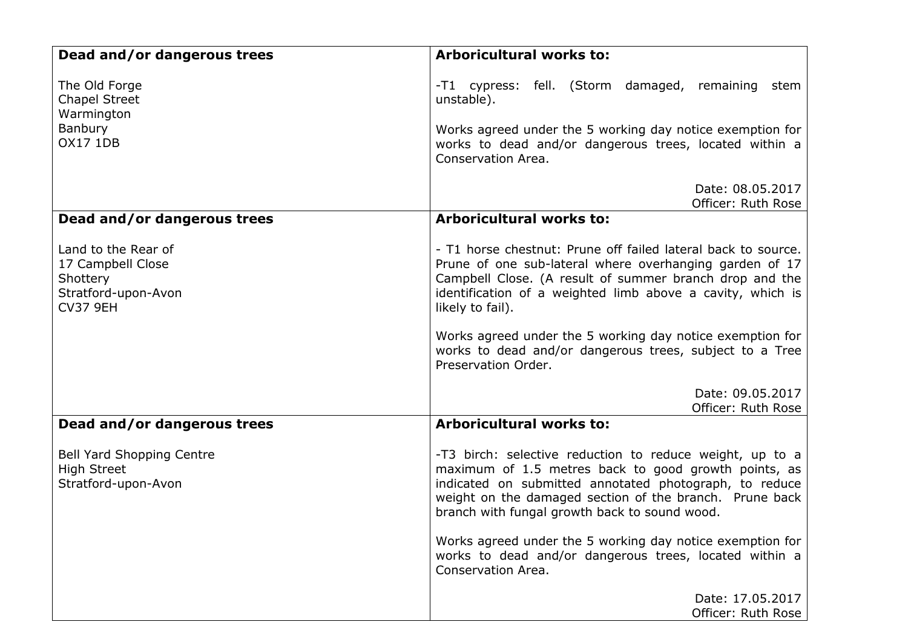| Dead and/or dangerous trees                                                                    | <b>Arboricultural works to:</b>                                                                                                                                                                                                                                                        |
|------------------------------------------------------------------------------------------------|----------------------------------------------------------------------------------------------------------------------------------------------------------------------------------------------------------------------------------------------------------------------------------------|
| The Old Forge<br><b>Chapel Street</b><br>Warmington                                            | -T1 cypress: fell. (Storm damaged, remaining stem<br>unstable).                                                                                                                                                                                                                        |
| Banbury<br><b>OX17 1DB</b>                                                                     | Works agreed under the 5 working day notice exemption for<br>works to dead and/or dangerous trees, located within a<br>Conservation Area.                                                                                                                                              |
|                                                                                                | Date: 08.05.2017<br>Officer: Ruth Rose                                                                                                                                                                                                                                                 |
| Dead and/or dangerous trees                                                                    | <b>Arboricultural works to:</b>                                                                                                                                                                                                                                                        |
| Land to the Rear of<br>17 Campbell Close<br>Shottery<br>Stratford-upon-Avon<br><b>CV37 9EH</b> | - T1 horse chestnut: Prune off failed lateral back to source.<br>Prune of one sub-lateral where overhanging garden of 17<br>Campbell Close. (A result of summer branch drop and the<br>identification of a weighted limb above a cavity, which is<br>likely to fail).                  |
|                                                                                                | Works agreed under the 5 working day notice exemption for<br>works to dead and/or dangerous trees, subject to a Tree<br>Preservation Order.                                                                                                                                            |
|                                                                                                | Date: 09.05.2017<br>Officer: Ruth Rose                                                                                                                                                                                                                                                 |
| Dead and/or dangerous trees                                                                    | <b>Arboricultural works to:</b>                                                                                                                                                                                                                                                        |
| <b>Bell Yard Shopping Centre</b><br><b>High Street</b><br>Stratford-upon-Avon                  | -T3 birch: selective reduction to reduce weight, up to a<br>maximum of 1.5 metres back to good growth points, as<br>indicated on submitted annotated photograph, to reduce<br>weight on the damaged section of the branch. Prune back<br>branch with fungal growth back to sound wood. |
|                                                                                                | Works agreed under the 5 working day notice exemption for<br>works to dead and/or dangerous trees, located within a<br>Conservation Area.                                                                                                                                              |
|                                                                                                | Date: 17.05.2017<br>Officer: Ruth Rose                                                                                                                                                                                                                                                 |